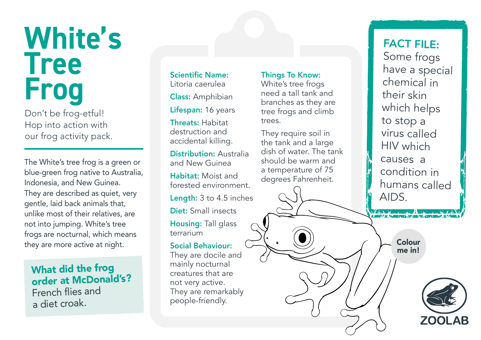# **White's Tree Frog**

Don't be frog-etful! Hop into action with our frog activity pack.

The White's tree frog is a green or blue-green frog native to Australia, Indonesia, and New Guinea. They are described as quiet, very gentle, laid back animals that, unlike most of their relatives, are not into jumping. White's tree frogs are nocturnal, which means they are more active at night.

## What did the frog order at McDonald's?

French flies and a diet croak.

Scientific Name: Litoria caerulea Class: Amphibian Lifespan: 16 years

Threats: Habitat destruction and accidental killing.

Distribution: Australia and New Guinea Habitat: Moist and

forested environment. Length: 3 to 4.5 inches Diet: Small insects Housing: Tall glass terrarium

#### Social Behaviour:

They are docile and mainly nocturnal creatures that are not very active. They are remarkably people-friendly.

### Things To Know:

White's tree frogs need a tall tank and branches as they are tree frogs and climb trees.

They require soil in the tank and a large dish of water. The tank should be warm and a temperature of 75 degrees Fahrenheit.

FACT FILE: Some frogs have a special chemical in their skin which helps to stop a virus called HIV which causes a condition in humans called AIDS.

> Colour me in!

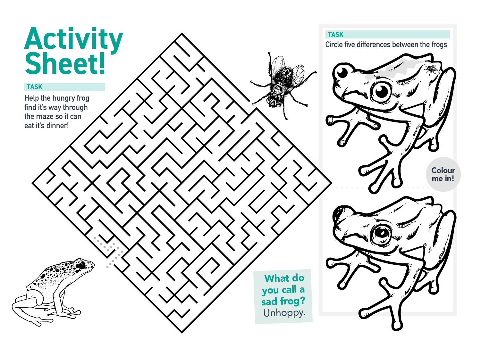